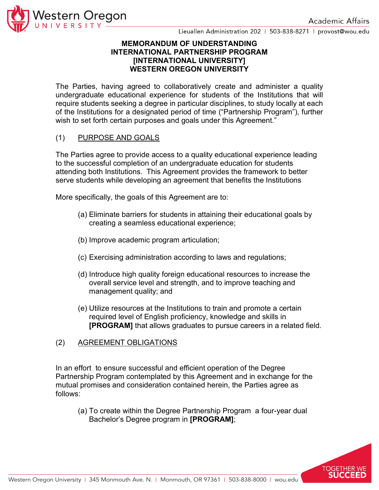

### **MEMORANDUM OF UNDERSTANDING INTERNATIONAL PARTNERSHIP PROGRAM [INTERNATIONAL UNIVERSITY] WESTERN OREGON UNIVERSITY**

The Parties, having agreed to collaboratively create and administer a quality undergraduate educational experience for students of the Institutions that will require students seeking a degree in particular disciplines, to study locally at each of the Institutions for a designated period of time ("Partnership Program"), further wish to set forth certain purposes and goals under this Agreement."

# (1) PURPOSE AND GOALS

The Parties agree to provide access to a quality educational experience leading to the successful completion of an undergraduate education for students attending both Institutions. This Agreement provides the framework to better serve students while developing an agreement that benefits the Institutions

More specifically, the goals of this Agreement are to:

- (a) Eliminate barriers for students in attaining their educational goals by creating a seamless educational experience;
- (b) Improve academic program articulation;
- (c) Exercising administration according to laws and regulations;
- (d) Introduce high quality foreign educational resources to increase the overall service level and strength, and to improve teaching and management quality; and
- (e) Utilize resources at the Institutions to train and promote a certain required level of English proficiency, knowledge and skills in **[PROGRAM]** that allows graduates to pursue careers in a related field.
- (2) AGREEMENT OBLIGATIONS

In an effort to ensure successful and efficient operation of the Degree Partnership Program contemplated by this Agreement and in exchange for the mutual promises and consideration contained herein, the Parties agree as follows:

(a) To create within the Degree Partnership Program a four-year dual Bachelor's Degree program in **[PROGRAM]**;

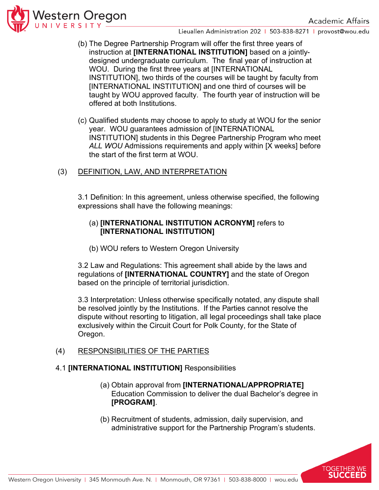

- (b) The Degree Partnership Program will offer the first three years of instruction at **[INTERNATIONAL INSTITUTION]** based on a jointlydesigned undergraduate curriculum. The final year of instruction at WOU. During the first three years at [INTERNATIONAL INSTITUTION], two thirds of the courses will be taught by faculty from [INTERNATIONAL INSTITUTION] and one third of courses will be taught by WOU approved faculty. The fourth year of instruction will be offered at both Institutions.
- (c) Qualified students may choose to apply to study at WOU for the senior year. WOU guarantees admission of [INTERNATIONAL INSTITUTION] students in this Degree Partnership Program who meet *ALL WOU* Admissions requirements and apply within [X weeks] before the start of the first term at WOU.

# (3) DEFINITION, LAW, AND INTERPRETATION

3.1 Definition: In this agreement, unless otherwise specified, the following expressions shall have the following meanings:

## (a) **[INTERNATIONAL INSTITUTION ACRONYM]** refers to **[INTERNATIONAL INSTITUTION]**

(b) WOU refers to Western Oregon University

3.2 Law and Regulations: This agreement shall abide by the laws and regulations of **[INTERNATIONAL COUNTRY]** and the state of Oregon based on the principle of territorial jurisdiction.

3.3 Interpretation: Unless otherwise specifically notated, any dispute shall be resolved jointly by the Institutions. If the Parties cannot resolve the dispute without resorting to litigation, all legal proceedings shall take place exclusively within the Circuit Court for Polk County, for the State of Oregon.

# (4) RESPONSIBILITIES OF THE PARTIES

### 4.1 **[INTERNATIONAL INSTITUTION]** Responsibilities

- (a) Obtain approval from **[INTERNATIONAL/APPROPRIATE]** Education Commission to deliver the dual Bachelor's degree in **[PROGRAM]**.
- (b) Recruitment of students, admission, daily supervision, and administrative support for the Partnership Program's students.

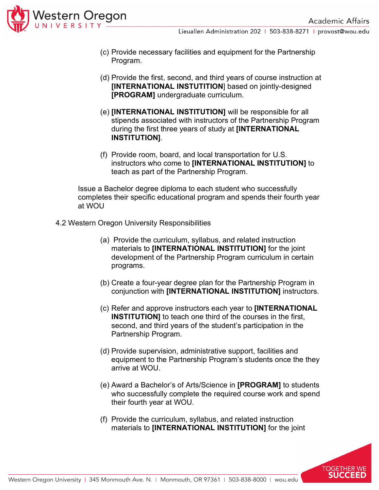

- (c) Provide necessary facilities and equipment for the Partnership Program.
- (d) Provide the first, second, and third years of course instruction at **[INTERNATIONAL INSTUTITION**] based on jointly-designed **[PROGRAM]** undergraduate curriculum.
- (e) **[INTERNATIONAL INSTITUTION]** will be responsible for all stipends associated with instructors of the Partnership Program during the first three years of study at **[INTERNATIONAL INSTITUTION]**.
- (f) Provide room, board, and local transportation for U.S. instructors who come to **[INTERNATIONAL INSTITUTION]** to teach as part of the Partnership Program.

Issue a Bachelor degree diploma to each student who successfully completes their specific educational program and spends their fourth year at WOU

- 4.2 Western Oregon University Responsibilities
	- (a) Provide the curriculum, syllabus, and related instruction materials to **[INTERNATIONAL INSTITUTION]** for the joint development of the Partnership Program curriculum in certain programs.
	- (b) Create a four-year degree plan for the Partnership Program in conjunction with **[INTERNATIONAL INSTITUTION]** instructors.
	- (c) Refer and approve instructors each year to **[INTERNATIONAL INSTITUTION]** to teach one third of the courses in the first, second, and third years of the student's participation in the Partnership Program.
	- (d) Provide supervision, administrative support, facilities and equipment to the Partnership Program's students once the they arrive at WOU.
	- (e) Award a Bachelor's of Arts/Science in **[PROGRAM]** to students who successfully complete the required course work and spend their fourth year at WOU.
	- (f) Provide the curriculum, syllabus, and related instruction materials to **[INTERNATIONAL INSTITUTION]** for the joint

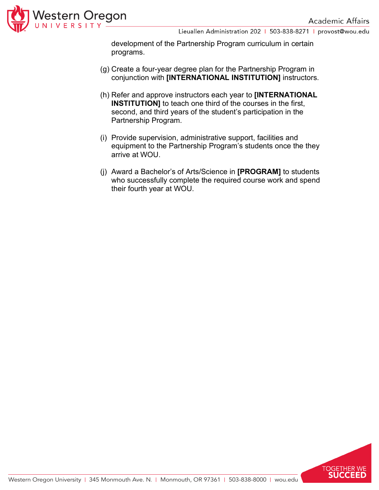

development of the Partnership Program curriculum in certain programs.

- (g) Create a four-year degree plan for the Partnership Program in conjunction with **[INTERNATIONAL INSTITUTION]** instructors.
- (h) Refer and approve instructors each year to **[INTERNATIONAL INSTITUTION]** to teach one third of the courses in the first, second, and third years of the student's participation in the Partnership Program.
- (i) Provide supervision, administrative support, facilities and equipment to the Partnership Program's students once the they arrive at WOU.
- (j) Award a Bachelor's of Arts/Science in **[PROGRAM]** to students who successfully complete the required course work and spend their fourth year at WOU.

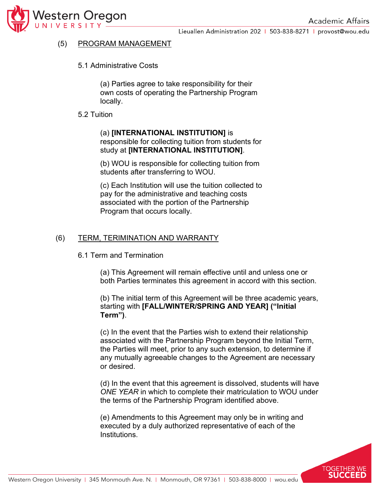

# (5) PROGRAM MANAGEMENT

5.1 Administrative Costs

(a) Parties agree to take responsibility for their own costs of operating the Partnership Program locally.

#### 5.2 Tuition

### (a) **[INTERNATIONAL INSTITUTION]** is responsible for collecting tuition from students for study at **[INTERNATIONAL INSTITUTION]**.

(b) WOU is responsible for collecting tuition from students after transferring to WOU.

(c) Each Institution will use the tuition collected to pay for the administrative and teaching costs associated with the portion of the Partnership Program that occurs locally.

### (6) TERM, TERIMINATION AND WARRANTY

6.1 Term and Termination

(a) This Agreement will remain effective until and unless one or both Parties terminates this agreement in accord with this section.

(b) The initial term of this Agreement will be three academic years, starting with **[FALL/WINTER/SPRING AND YEAR] ("Initial Term")**.

(c) In the event that the Parties wish to extend their relationship associated with the Partnership Program beyond the Initial Term, the Parties will meet, prior to any such extension, to determine if any mutually agreeable changes to the Agreement are necessary or desired.

(d) In the event that this agreement is dissolved, students will have *ONE YEAR* in which to complete their matriculation to WOU under the terms of the Partnership Program identified above.

(e) Amendments to this Agreement may only be in writing and executed by a duly authorized representative of each of the Institutions.

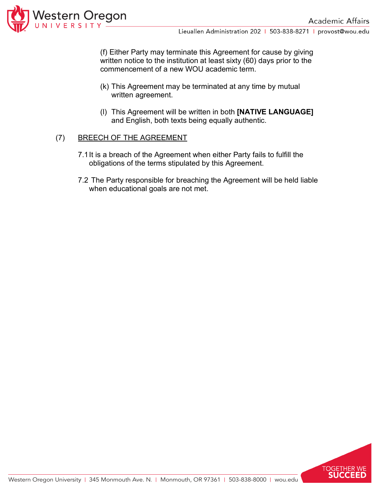

(f) Either Party may terminate this Agreement for cause by giving written notice to the institution at least sixty (60) days prior to the commencement of a new WOU academic term.

- (k) This Agreement may be terminated at any time by mutual written agreement.
- (l) This Agreement will be written in both **[NATIVE LANGUAGE]** and English, both texts being equally authentic.

### (7) BREECH OF THE AGREEMENT

- 7.1It is a breach of the Agreement when either Party fails to fulfill the obligations of the terms stipulated by this Agreement.
- 7.2 The Party responsible for breaching the Agreement will be held liable when educational goals are not met.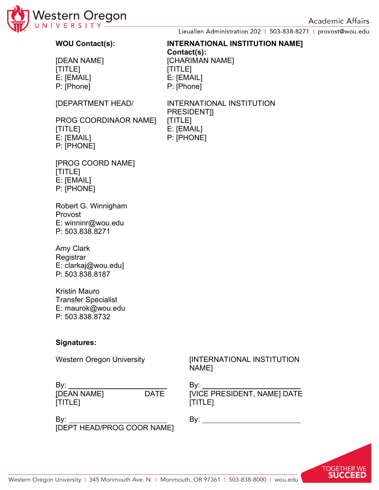

### **WOU Contact(s): INTERNATIONAL INSTITUTION NAME]**

[DEAN NAME] [CHARIMAN NAME] [TITLE] [TITLE] E: [EMAIL] E: [EMAIL] P: [Phone] P: [Phone]

[DEPARTMENT HEAD/ INTERNATIONAL INSTITUTION PRESIDENT]]

**Contact(s):**

PROG COORDINAOR NAME] [TITLE] [TITLE] E: [EMAIL] E: [EMAIL] P: [PHONE] P: [PHONE]

[PROG COORD NAME] [TITLE] E: [EMAIL] P: [PHONE]

Robert G. Winnigham Provost E: winninr@wou.edu P: 503.838.8271

Amy Clark Registrar E: clarkaj@wou.edu] P: 503.838.8187

Kristin Mauro Transfer Specialist E: maurok@wou.edu P: 503.838.8732

### **Signatures:**

Western Oregon University **[INTERNATIONAL INSTITUTION** NAME]

By: By: [DEAN NAME] DATE [VICE PRESIDENT, NAME] DATE [TITLE] [TITLE]

By: By: [DEPT HEAD/PROG COOR NAME]

TOGETHER WE **SUCCEED**